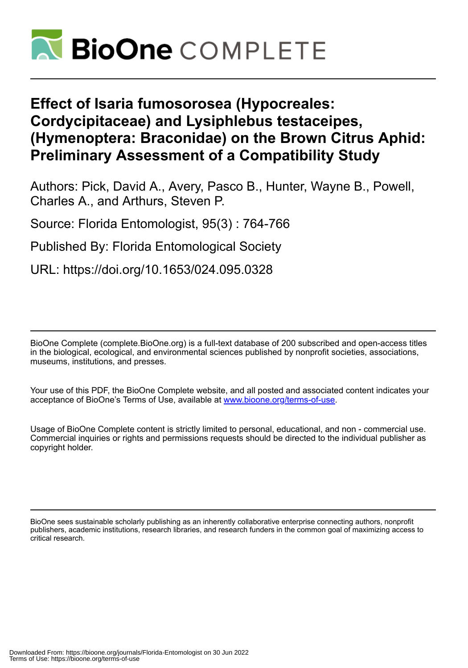

# **Effect of Isaria fumosorosea (Hypocreales: Cordycipitaceae) and Lysiphlebus testaceipes, (Hymenoptera: Braconidae) on the Brown Citrus Aphid: Preliminary Assessment of a Compatibility Study**

Authors: Pick, David A., Avery, Pasco B., Hunter, Wayne B., Powell, Charles A., and Arthurs, Steven P.

Source: Florida Entomologist, 95(3) : 764-766

Published By: Florida Entomological Society

URL: https://doi.org/10.1653/024.095.0328

BioOne Complete (complete.BioOne.org) is a full-text database of 200 subscribed and open-access titles in the biological, ecological, and environmental sciences published by nonprofit societies, associations, museums, institutions, and presses.

Your use of this PDF, the BioOne Complete website, and all posted and associated content indicates your acceptance of BioOne's Terms of Use, available at www.bioone.org/terms-of-use.

Usage of BioOne Complete content is strictly limited to personal, educational, and non - commercial use. Commercial inquiries or rights and permissions requests should be directed to the individual publisher as copyright holder.

BioOne sees sustainable scholarly publishing as an inherently collaborative enterprise connecting authors, nonprofit publishers, academic institutions, research libraries, and research funders in the common goal of maximizing access to critical research.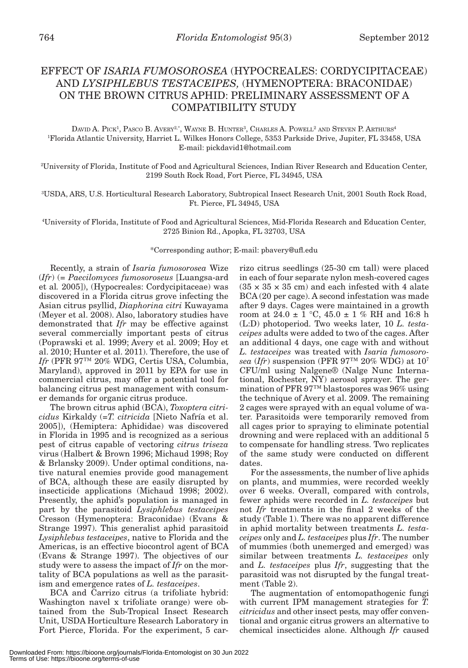## EFFECT OF *ISARIA FUMOSOROSEA* (HYPOCREALES: CORDYCIPITACEAE) AND *LYSIPHLEBUS TESTACEIPES,* (HYMENOPTERA: BRACONIDAE) ON THE BROWN CITRUS APHID: PRELIMINARY ASSESSMENT OF A COMPATIBILITY STUDY

DAVID A. PICK<sup>1</sup>, PASCO B. AVERY<sup>2,\*</sup>, WAYNE B. HUNTER<sup>3</sup>, CHARLES A. POWELL<sup>2</sup> AND STEVEN P. ARTHURS<sup>4</sup> 1 Florida Atlantic University, Harriet L. Wilkes Honors College, 5353 Parkside Drive, Jupiter, FL 33458, USA E-mail: pickdavid1@hotmail.com

2 University of Florida, Institute of Food and Agricultural Sciences, Indian River Research and Education Center, 2199 South Rock Road, Fort Pierce, FL 34945, USA

3 USDA, ARS, U.S. Horticultural Research Laboratory, Subtropical Insect Research Unit, 2001 South Rock Road, Ft. Pierce, FL 34945, USA

4 University of Florida, Institute of Food and Agricultural Sciences, Mid-Florida Research and Education Center, 2725 Binion Rd., Apopka, FL 32703, USA

\*Corresponding author; E-mail: pbavery@ufl.edu

Recently, a strain of *Isaria fumosorosea* Wize (*Ifr*) (= *Paecilomyces fumosoroseus* [Luangsa-ard et al*.* 2005]), (Hypocreales: Cordycipitaceae) was discovered in a Florida citrus grove infecting the Asian citrus psyllid, *Diaphorina citri* Kuwayama (Meyer et al. 2008). Also, laboratory studies have demonstrated that *Ifr* may be effective against several commercially important pests of citrus (Poprawski et al. 1999; Avery et al. 2009; Hoy et al. 2010; Hunter et al. 2011). Therefore, the use of *Ifr* (PFR 97™ 20% WDG, Certis USA, Columbia, Maryland), approved in 2011 by EPA for use in commercial citrus, may offer a potential tool for balancing citrus pest management with consumer demands for organic citrus produce.

The brown citrus aphid (BCA), *Toxoptera citricidus* Kirkaldy (=*T. citricida* [Nieto Nafría et al. 2005]), (Hemiptera: Aphididae) was discovered in Florida in 1995 and is recognized as a serious pest of citrus capable of vectoring *citrus triseza*  virus (Halbert & Brown 1996; Michaud 1998; Roy & Brlansky 2009). Under optimal conditions, native natural enemies provide good management of BCA, although these are easily disrupted by insecticide applications (Michaud 1998; 2002). Presently, the aphid's population is managed in part by the parasitoid *Lysiphlebus testaceipes* Cresson (Hymenoptera: Braconidae) (Evans & Strange 1997). This generalist aphid parasitoid *Lysiphlebus testaceipes*, native to Florida and the Americas, is an effective biocontrol agent of BCA (Evans & Strange 1997). The objectives of our study were to assess the impact of *Ifr* on the mortality of BCA populations as well as the parasitism and emergence rates of *L. testaceipes*.

BCA and Carrizo citrus (a trifoliate hybrid: Washington navel x trifoliate orange) were obtained from the Sub-Tropical Insect Research Unit, USDA Horticulture Research Laboratory in Fort Pierce, Florida. For the experiment, 5 carrizo citrus seedlings (25-30 cm tall) were placed in each of four separate nylon mesh-covered cages  $(35 \times 35 \times 35$  cm) and each infested with 4 alate BCA (20 per cage). A second infestation was made after 9 days. Cages were maintained in a growth room at  $24.0 \pm 1$  °C,  $45.0 \pm 1$  % RH and 16:8 h (L:D) photoperiod. Two weeks later, 10 *L. testaceipes* adults were added to two of the cages. After an additional 4 days, one cage with and without *L. testaceipes* was treated with *Isaria fumosorosea* (*Ifr*) suspension (PFR 97™ 20% WDG) at 107 CFU/ml using Nalgene® (Nalge Nunc International, Rochester, NY) aerosol sprayer. The germination of PFR 97™ blastospores was 96% using the technique of Avery et al. 2009. The remaining 2 cages were sprayed with an equal volume of water. Parasitoids were temporarily removed from all cages prior to spraying to eliminate potential drowning and were replaced with an additional 5 to compensate for handling stress. Two replicates of the same study were conducted on different dates.

For the assessments, the number of live aphids on plants, and mummies, were recorded weekly over 6 weeks. Overall, compared with controls, fewer aphids were recorded in *L. testaceipes* but not *Ifr* treatments in the final 2 weeks of the study (Table 1). There was no apparent difference in aphid mortality between treatments *L. testaceipes* only and *L. testaceipes* plus *Ifr*. The number of mummies (both unemerged and emerged) was similar between treatments *L. testaceipes* only and *L. testaceipes* plus *Ifr*, suggesting that the parasitoid was not disrupted by the fungal treatment (Table 2).

The augmentation of entomopathogenic fungi with current IPM management strategies for *T. citricidus* and other insect pests*,* may offer conventional and organic citrus growers an alternative to chemical insecticides alone. Although *Ifr* caused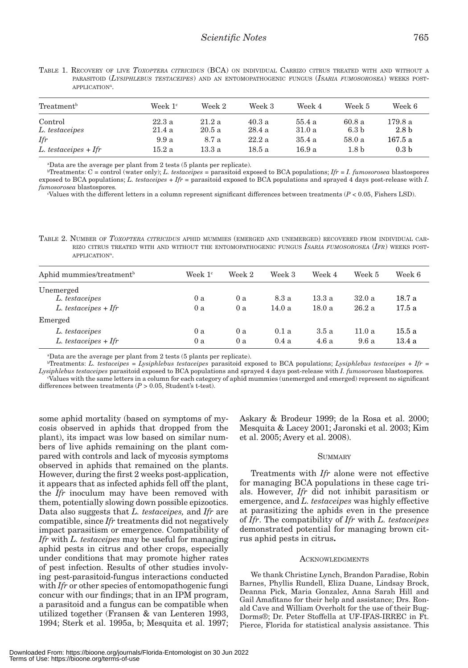| Treatment <sup>b</sup>    | Week $1c$      | Week 2         | Week 3          | Week 4           | Week 5                    | Week 6                      |  |
|---------------------------|----------------|----------------|-----------------|------------------|---------------------------|-----------------------------|--|
| Control<br>L. testaceipes | 22.3a<br>21.4a | 21.2a<br>20.5a | 40.3 a<br>28.4a | 55.4 a<br>31.0 a | 60.8a<br>6.3 <sub>b</sub> | 179.8 a<br>2.8 <sub>b</sub> |  |
| Ifr                       | 9.9a           | 8.7 a          | 22.2a           | 35.4a            | 58.0a                     | 167.5 a                     |  |
| $L.$ testaceipes + Ifr    | 15.2a          | 13.3 a         | 18.5 a          | 16.9 a           | 1.8 <sub>b</sub>          | 0.3 <sub>b</sub>            |  |

TABLE 1. RECOVERY OF LIVE *TOXOPTERA CITRICIDUS* (BCA) ON INDIVIDUAL CARRIZO CITRUS TREATED WITH AND WITHOUT <sup>A</sup> PARASITOID (*LYSIPHLEBUS TESTACEIPES*) AND AN ENTOMOPATHOGENIC FUNGUS (*ISARIA FUMOSOROSEA*) WEEKS POST-APPLICATION<sup>A</sup>.

a Data are the average per plant from 2 tests (5 plants per replicate).

 $b$ Treatments:  $C =$  control (water only); *L. testaceipes* = parasitoid exposed to BCA populations;  $Ifr = I$ . fumosorosea blastospores exposed to BCA populations; *L. testaceipes* + *Ifr* = parasitoid exposed to BCA populations and sprayed 4 days post-release with *I. fumosorosea* blastospores*.*

c Values with the different letters in a column represent significant differences between treatments (*P* < 0.05, Fishers LSD).

TABLE 2. NUMBER OF *TOXOPTERA CITRICIDUS* APHID MUMMIES (EMERGED AND UNEMERGED) RECOVERED FROM INDIVIDUAL CAR-RIZO CITRUS TREATED WITH AND WITHOUT THE ENTOMOPATHOGENIC FUNGUS *ISARIA FUMOSOROSEA* (*IFR*) WEEKS POST-APPLICATION<sup>A</sup>.

| Aphid mummies/treatment <sup>b</sup> | Week $1c$ | Week 2 | Week 3 | Week 4 | Week 5 | Week 6 |
|--------------------------------------|-----------|--------|--------|--------|--------|--------|
| Unemerged                            |           |        |        |        |        |        |
| L. testaceipes                       | 0a        | 0a     | 8.3 a  | 13.3a  | 32.0a  | 18.7 a |
| $L. test accepts + If r$             | 0 a       | 0 a    | 14.0 a | 18.0a  | 26.2a  | 17.5a  |
| Emerged                              |           |        |        |        |        |        |
| L. testaceipes                       | 0 a       | 0 a    | 0.1a   | 3.5a   | 11.0a  | 15.5 a |
| $L. test aceipes + Ifr$              | 0 a       | 0a     | 0.4a   | 4.6a   | 9.6a   | 13.4a  |

a Data are the average per plant from 2 tests (5 plants per replicate).

b Treatments: *L. testaceipes* = *Lysiphlebus testaceipes* parasitoid exposed to BCA populations; *Lysiphlebus testaceipes* + *Ifr* = *Lysiphlebus testaceipes* parasitoid exposed to BCA populations and sprayed 4 days post-release with *I. fumosorosea* blastospores*.* c Values with the same letters in a column for each category of aphid mummies (unemerged and emerged) represent no significant differences between treatments (*P* > 0.05, Student's t-test).

some aphid mortality (based on symptoms of mycosis observed in aphids that dropped from the plant), its impact was low based on similar numbers of live aphids remaining on the plant compared with controls and lack of mycosis symptoms observed in aphids that remained on the plants. However, during the first 2 weeks post-application, it appears that as infected aphids fell off the plant, the *Ifr* inoculum may have been removed with them, potentially slowing down possible epizootics. Data also suggests that *L. testaceipes,* and *Ifr* are compatible, since *Ifr* treatments did not negatively impact parasitism or emergence. Compatibility of *Ifr* with *L. testaceipes* may be useful for managing aphid pests in citrus and other crops, especially under conditions that may promote higher rates of pest infection. Results of other studies involving pest-parasitoid-fungus interactions conducted with *Ifr* or other species of entomopathogenic fungi concur with our findings; that in an IPM program, a parasitoid and a fungus can be compatible when utilized together (Fransen & van Lenteren 1993, 1994; Sterk et al. 1995a, b; Mesquita et al. 1997; Askary & Brodeur 1999; de la Rosa et al. 2000; Mesquita & Lacey 2001; Jaronski et al. 2003; Kim et al. 2005; Avery et al. 2008).

#### **SUMMARY**

Treatments with *Ifr* alone were not effective for managing BCA populations in these cage trials. However, *Ifr* did not inhibit parasitism or emergence, and *L. testaceipes* was highly effective at parasitizing the aphids even in the presence of *Ifr*. The compatibility of *Ifr* with *L. testaceipes* demonstrated potential for managing brown citrus aphid pests in citrus**.**

#### **ACKNOWLEDGMENTS**

We thank Christine Lynch, Brandon Paradise, Robin Barnes, Phyllis Rundell, Eliza Duane, Lindsay Brock, Deanna Pick, Maria Gonzalez, Anna Sarah Hill and Gail Amafitano for their help and assistance; Drs. Ronald Cave and William Overholt for the use of their Bug-Dorms®; Dr. Peter Stoffella at UF-IFAS-IRREC in Ft. Pierce, Florida for statistical analysis assistance. This